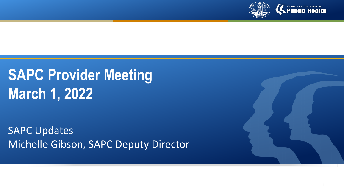

# **COUNTY OF LOS ANGELES**

# **SAPC Provider Meeting March 1, 2022**

SAPC Updates Michelle Gibson, SAPC Deputy Director

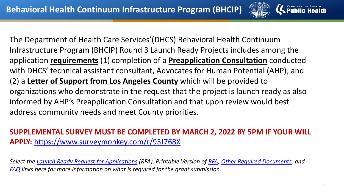

The Department of Health Care Services'(DHCS) Behavioral Health Continuum Infrastructure Program (BHCIP) Round 3 Launch Ready Projects includes among the application **requirements** (1) completion of a **Preapplication Consultation** conducted with DHCS' technical assistant consultant, Advocates for Human Potential (AHP); and (2) a **Letter of Support from Los Angeles County** which will be provided to organizations who demonstrate in the request that the project is launch ready as also informed by AHP's Preapplication Consultation and that upon review would best address community needs and meet County priorities.

# **SUPPLEMENTAL SURVEY MUST BE COMPLETED BY MARCH 2, 2022 BY 5PM IF YOUR WILL APPLY:** <https://www.surveymonkey.com/r/93J768X>

*Select the [Launch Ready Request for Applications](https://secure-web.cisco.com/1e_jbhya9FGwZb-UsByu_8RbGyL3SQoBukaV5nx04YLPDX5lmfZeaj4q49c89t2WleQl3ntMFd1b2fIZgR0F_l9rJU1IpWA61OwxLcUrmXNAyI_cx8iBDzneZVPntPpzsG5DpKFtBot7zEWPT_XZm1YDT0QI8lQK1uA0lgRtCYBD4BKZ-ieWIkfO3bcgHvM6yq_n9ouhhcmI_Fe896Nydz6uWUldibUYTXRKsBbzNdjS3L0HD1FzE--vhwyBN1nkaEJQaH_ZFtXfE4WeocK5rFzRn9m9lp6b8K5_t5G20XQaej7MyRqBPi2kuSl3Gnu0GZJN5HCHL9D5WrMuZ4mTq5pSFK9NEw6piyqUKqy2nJYs/https%3A%2F%2Fwww.infrastructure.buildingcalhhs.com%2Fgrantees%2Flr%2F?utm_content=&utm_medium=email&utm_name=&utm_source=govdelivery&utm_term=) (RFA), Printable Version of [RFA,](https://secure-web.cisco.com/19HASDCACYCy-CUyWuXh5ih9RKSDePMoRFEr5RgcQWQts_5J8EWmm1LMVwP_1Pt7ekHdII5O0Nt49tvBY8kC14sn9iWlbtjbwEhoioPgjulDXTJCW7w9CmWcXCDvSHMHBtYNYKMlWnVJR3Hp144L3GCvb1WEc6AOwG0cQqJpT1nsK2njG8iSRAR_22gkzxC4cVRxVTha43VwEwktY_OIWENzTWwt_1SADmFPL056L1hDq5xKj7bFdky0tpCM-NwyEmqg18ChctlzGb8sI0ubzEsjxfIGcpVKy-KXGV1JBzU-7HiQjWeH0luiA5udWnghSVtQ6T98NXPov2vTtL8T_BFUUNcE1fyr5B0gMUUq-FrA/https%3A%2F%2Fwww.infrastructure.buildingcalhhs.com%2Fwp-content%2Fuploads%2F2022%2F01%2FJoint-RFA.pdf?utm_content=&utm_medium=email&utm_name=&utm_source=govdelivery&utm_term=) [Other Required Documents,](https://secure-web.cisco.com/1tgT4fu0-EEXcYaP-NiDl9ls59M0s8P1GleyQZWeRDiyYtYKamvKgmAAl1xf3HHJQB8-vsYDJZCviYnHxEZERQsqkgCMwm1wYDORSsuOV6B1lQULuJnT_OMVh6aL_AaaD_TtIHnUm7XmXyXeINZgblG-tqvJFfHPH3AwQvTfQPO31SdGrRIvprHk_SbXTP-6NQFqfRro3nhJzMdf2L9KQCaVHP9L2qRtlgyZYFBPMuRHUdnHIuz0Rnwh8dbPzid6aeNy7iH0G7EtONsMaF8e4P6nBFhZ0GX20FU7Qfb56vCNcVipM1VvwbpljOZxhBVWktg1apmhHTdye-AFD8BmXjsekwh3s2boDIUI4IxVaUnY/https%3A%2F%2Fwww.infrastructure.buildingcalhhs.com%2Fjoint-request-for-applications-rfa%2F?utm_content=&utm_medium=email&utm_name=&utm_source=govdelivery&utm_term=) and [FAQ](https://secure-web.cisco.com/16lwkRTgV5oBrU74ePN8lLcpsT_XTVkTOYJFKboLrtps414f6KFUCQ2SqMU0cJei4lrF4oaNMjWYT-rN_Z9tPsqv-h3D7c-BELOw9nZBTaaV2X__uCmDKPJAVfTjwJQ3MkTJrW-C9QAFOy-FYEALje6RMVKE111PDFM1BWlBgqnWSC-iKrsE1Zu6thzhJnULOqwKxMATtajALNEuiF08p0rGfY5mQRk6aknzVwLGkGO1KyIS2YNV3N1sA1WLKouQapD9ElxPRH0JbriksxMMHV6yNuwCpXGe1CX9jaavGdL5KAkbr8WNXUkoZ26cHP_-aNSsxNuipxil5D7ny7Fxrfmwn0ZUtIC2KHwUQQBxLpZc/https%3A%2F%2Fwww.infrastructure.buildingcalhhs.com%2Fwp-content%2Fuploads%2F2022%2F02%2FBHCIP_FAQ_02232022.pdf?utm_content=&utm_medium=email&utm_name=&utm_source=govdelivery&utm_term=) links here for more information on what is required for the grant submission.*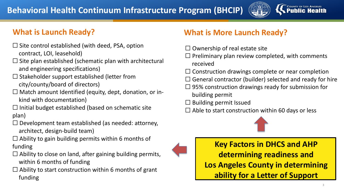

- $\Box$  Site control established (with deed, PSA, option contract, LOI, leasehold)
- $\Box$  Site plan established (schematic plan with architectural and engineering specifications)
- $\Box$  Stakeholder support established (letter from city/county/board of directors)
- $\Box$  Match amount Identified (equity, dept, donation, or inkind with documentation)
- $\Box$  Initial budget established (based on schematic site plan)
- $\Box$  Development team established (as needed: attorney, architect, design-build team)
- $\Box$  Ability to gain building permits within 6 months of funding
- $\Box$  Ability to close on land, after gaining building permits, within 6 months of funding
- $\Box$  Ability to start construction within 6 months of grant funding

# **What is Launch Ready? What is More Launch Ready?**

- $\Box$  Ownership of real estate site
- $\Box$  Preliminary plan review completed, with comments received
- $\Box$  Construction drawings complete or near completion
- $\Box$  General contractor (builder) selected and ready for hire
- $\Box$  95% construction drawings ready for submission for building permit
- $\Box$  Building permit Issued
- $\Box$  Able to start construction within 60 days or less



**Key Factors in DHCS and AHP determining readiness and Los Angeles County in determining ability for a Letter of Support**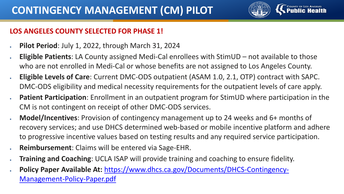

## **LOS ANGELES COUNTY SELECTED FOR PHASE 1!**

- **Pilot Period**: July 1, 2022, through March 31, 2024
- **Eligible Patients**: LA County assigned Medi-Cal enrollees with StimUD not available to those who are not enrolled in Medi-Cal or whose benefits are not assigned to Los Angeles County.
- **Eligible Levels of Care**: Current DMC-ODS outpatient (ASAM 1.0, 2.1, OTP) contract with SAPC. DMC-ODS eligibility and medical necessity requirements for the outpatient levels of care apply.
- **Patient Participation**: Enrollment in an outpatient program for StimUD where participation in the CM is not contingent on receipt of other DMC-ODS services.
- **Model/Incentives**: Provision of contingency management up to 24 weeks and 6+ months of recovery services; and use DHCS determined web-based or mobile incentive platform and adhere to progressive incentive values based on testing results and any required service participation.
- **Reimbursement**: Claims will be entered via Sage-EHR.
- **Training and Coaching**: UCLA ISAP will provide training and coaching to ensure fidelity.
- **Policy Paper Available At:** [https://www.dhcs.ca.gov/Documents/DHCS-Contingency-](https://www.dhcs.ca.gov/Documents/DHCS-Contingency-Management-Policy-Paper.pdf)Management-Policy-Paper.pdf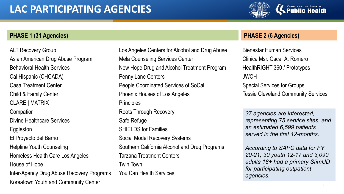

### **PHASE 1 (31 Agencies) PHASE 2 (6 Agencies)**

ALT Recovery Group Asian American Drug Abuse Program Behavioral Health Services Cal Hispanic (CHCADA) Casa Treatment Center Child & Family Center CLARE | MATRIX **Compation** Divine Healthcare Services Eggleston El Proyecto del Barrio Helpline Youth Counseling Homeless Health Care Los Angeles House of Hope Inter-Agency Drug Abuse Recovery Programs Koreatown Youth and Community Center 5 and 5 and 5 and 5 and 5 and 5 and 5 and 5 and 5 and 5 and 5 and 5 and 5 and 5 and 5 and 5 and 5 and 5 and 5 and 5 and 5 and 5 and 5 and 5 and 5 and 5 and 5 and 5 and 5 and 5 and 5 and

Los Angeles Centers for Alcohol and Drug Abuse Mela Counseling Services Center New Hope Drug and Alcohol Treatment Program Penny Lane Centers People Coordinated Services of SoCal Phoenix Houses of Los Angeles **Principles** Roots Through Recovery Safe Refuge SHIFLDS for Families Social Model Recovery Systems Southern California Alcohol and Drug Programs Tarzana Treatment Centers Twin Town You Can Health Services

Bienestar Human Services Clinica Msr. Oscar A. Romero HealthRIGHT 360 / Prototypes **JWCH** Special Services for Groups Tessie Cleveland Community Services

*37 agencies are interested, representing 75 service sites, and an estimated 6,599 patients served in the first 12-months.*

*According to SAPC data for FY 20-21, 30 youth 12-17 and 3,090 adults 18+ had a primary StimUD for participating outpatient agencies.*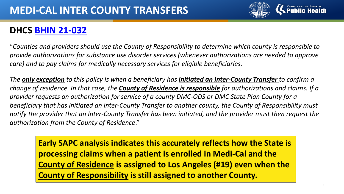

# **DHCS BHIN [21-032](https://www.dhcs.ca.gov/Documents/BHIN-21-032.pdf)**

"*Counties and providers should use the County of Responsibility to determine which county is responsible to provide authorizations for substance use disorder services (whenever authorizations are needed to approve care) and to pay claims for medically necessary services for eligible beneficiaries.* 

*The only exception to this policy is when a beneficiary has initiated an Inter-County Transfer to confirm a change of residence. In that case, the County of Residence is responsible for authorizations and claims. If a provider requests an authorization for service of a county DMC-ODS or DMC State Plan County for a beneficiary that has initiated an Inter-County Transfer to another county, the County of Responsibility must notify the provider that an Inter-County Transfer has been initiated, and the provider must then request the authorization from the County of Residence*."

**Early SAPC analysis indicates this accurately reflects how the State is processing claims when a patient is enrolled in Medi-Cal and the County of Residence is assigned to Los Angeles (#19) even when the County of Responsibility is still assigned to another County.**